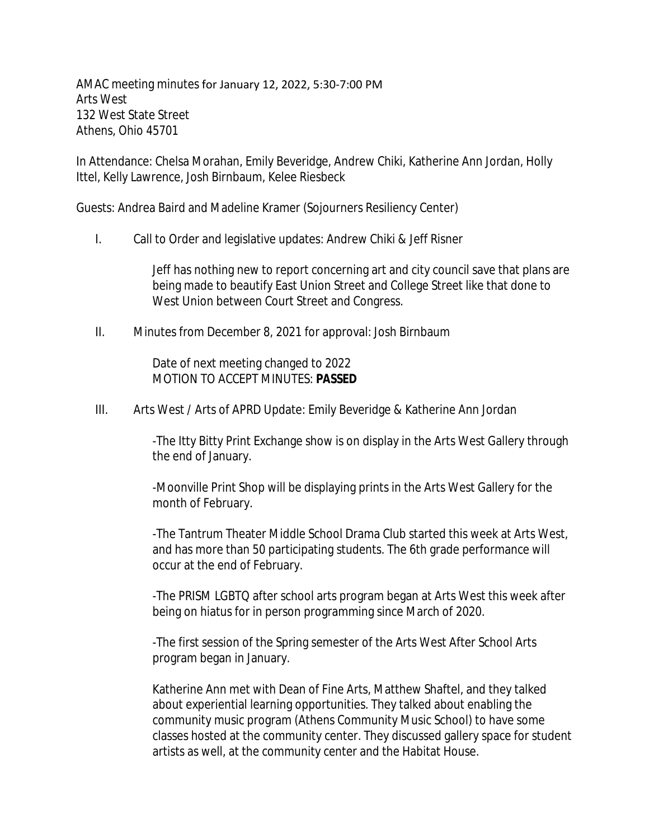AMAC meeting minutes for January 12, 2022, 5:30-7:00 PM Arts West 132 West State Street Athens, Ohio 45701

In Attendance: Chelsa Morahan, Emily Beveridge, Andrew Chiki, Katherine Ann Jordan, Holly Ittel, Kelly Lawrence, Josh Birnbaum, Kelee Riesbeck

Guests: Andrea Baird and Madeline Kramer (Sojourners Resiliency Center)

I. Call to Order and legislative updates: Andrew Chiki & Jeff Risner

Jeff has nothing new to report concerning art and city council save that plans are being made to beautify East Union Street and College Street like that done to West Union between Court Street and Congress.

II. Minutes from December 8, 2021 for approval: Josh Birnbaum

Date of next meeting changed to 2022 MOTION TO ACCEPT MINUTES: **PASSED**

III. Arts West / Arts of APRD Update: Emily Beveridge & Katherine Ann Jordan

-The Itty Bitty Print Exchange show is on display in the Arts West Gallery through the end of January.

-Moonville Print Shop will be displaying prints in the Arts West Gallery for the month of February.

-The Tantrum Theater Middle School Drama Club started this week at Arts West, and has more than 50 participating students. The 6th grade performance will occur at the end of February.

-The PRISM LGBTQ after school arts program began at Arts West this week after being on hiatus for in person programming since March of 2020.

-The first session of the Spring semester of the Arts West After School Arts program began in January.

Katherine Ann met with Dean of Fine Arts, Matthew Shaftel, and they talked about experiential learning opportunities. They talked about enabling the community music program (Athens Community Music School) to have some classes hosted at the community center. They discussed gallery space for student artists as well, at the community center and the Habitat House.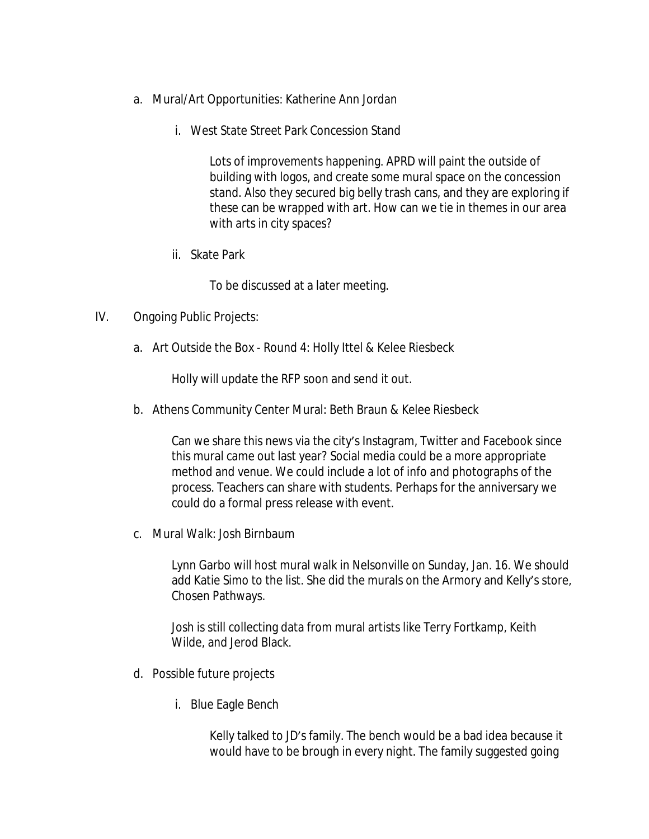- a. Mural/Art Opportunities: Katherine Ann Jordan
	- i. West State Street Park Concession Stand

Lots of improvements happening. APRD will paint the outside of building with logos, and create some mural space on the concession stand. Also they secured big belly trash cans, and they are exploring if these can be wrapped with art. How can we tie in themes in our area with arts in city spaces?

ii. Skate Park

To be discussed at a later meeting.

- IV. Ongoing Public Projects:
	- a. Art Outside the Box Round 4: Holly Ittel & Kelee Riesbeck

Holly will update the RFP soon and send it out.

b. Athens Community Center Mural: Beth Braun & Kelee Riesbeck

Can we share this news via the city's Instagram, Twitter and Facebook since this mural came out last year? Social media could be a more appropriate method and venue. We could include a lot of info and photographs of the process. Teachers can share with students. Perhaps for the anniversary we could do a formal press release with event.

c. Mural Walk: Josh Birnbaum

Lynn Garbo will host mural walk in Nelsonville on Sunday, Jan. 16. We should add Katie Simo to the list. She did the murals on the Armory and Kelly's store, Chosen Pathways.

Josh is still collecting data from mural artists like Terry Fortkamp, Keith Wilde, and Jerod Black.

- d. Possible future projects
	- i. Blue Eagle Bench

Kelly talked to JD's family. The bench would be a bad idea because it would have to be brough in every night. The family suggested going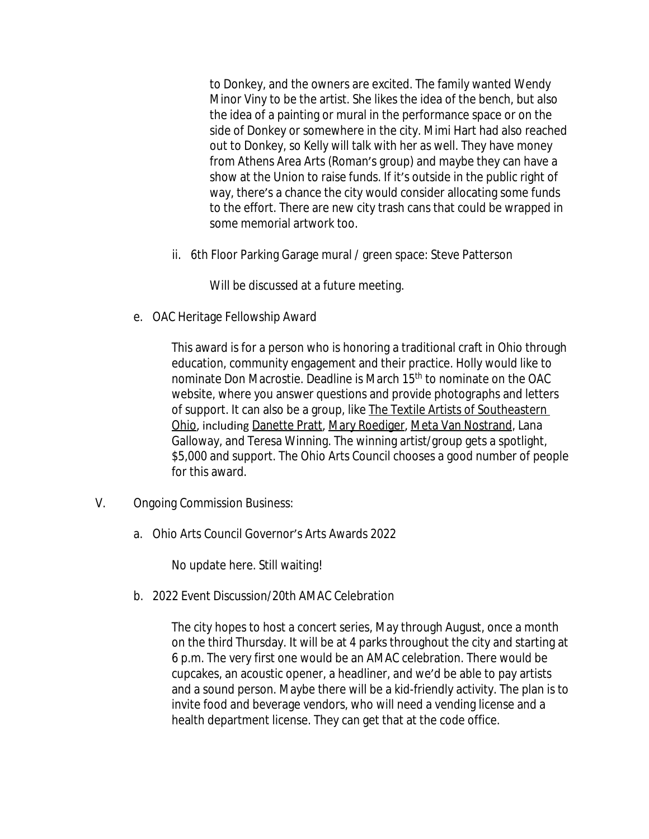to Donkey, and the owners are excited. The family wanted Wendy Minor Viny to be the artist. She likes the idea of the bench, but also the idea of a painting or mural in the performance space or on the side of Donkey or somewhere in the city. Mimi Hart had also reached out to Donkey, so Kelly will talk with her as well. They have money from Athens Area Arts (Roman's group) and maybe they can have a show at the Union to raise funds. If it's outside in the public right of way, there's a chance the city would consider allocating some funds to the effort. There are new city trash cans that could be wrapped in some memorial artwork too.

ii. 6th Floor Parking Garage mural / green space: Steve Patterson

Will be discussed at a future meeting.

e. OAC Heritage Fellowship Award

This award is for a person who is honoring a traditional craft in Ohio through education, community engagement and their practice. Holly would like to nominate Don Macrostie. Deadline is March 15<sup>th</sup> to nominate on the OAC website, where you answer questions and provide photographs and letters of support. It can also be a group, like [The Textile Artists of Southeastern](https://www.newsandsentinel.com/news/community-news/2021/05/parkersburg-art-center-readies-flora-fauna-and-landscape-exhibit/)  Ohio, including [Danette Pratt](https://www.danettepratt.site/), [Mary Roediger](http://www.sewtruedesigns.com/default/welcome.html), [Meta Van Nostrand](https://www.linkedin.com/in/meta-m-van-nostran-46a103b3/), Lana Galloway, and Teresa Winning. The winning artist/group gets a spotlight, \$5,000 and support. The Ohio Arts Council chooses a good number of people for this award.

- V. Ongoing Commission Business:
	- a. Ohio Arts Council Governor's Arts Awards 2022

No update here. Still waiting!

b. 2022 Event Discussion/20th AMAC Celebration

The city hopes to host a concert series, May through August, once a month on the third Thursday. It will be at 4 parks throughout the city and starting at 6 p.m. The very first one would be an AMAC celebration. There would be cupcakes, an acoustic opener, a headliner, and we'd be able to pay artists and a sound person. Maybe there will be a kid-friendly activity. The plan is to invite food and beverage vendors, who will need a vending license and a health department license. They can get that at the code office.